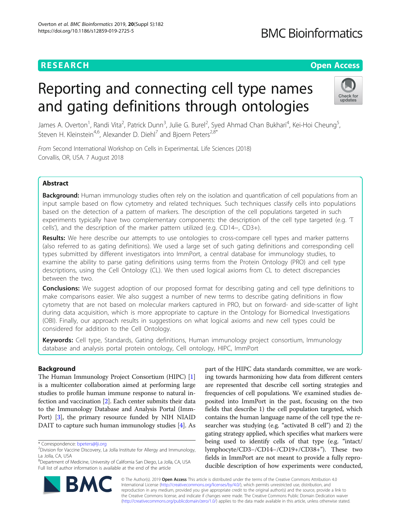# **RESEARCH CHINESE ARCH CHINESE ARCHITECT AND ACCESS**

# **BMC Bioinformatics**

# Reporting and connecting cell type names and gating definitions through ontologies



James A. Overton<sup>1</sup>, Randi Vita<sup>2</sup>, Patrick Dunn<sup>3</sup>, Julie G. Burel<sup>2</sup>, Syed Ahmad Chan Bukhari<sup>4</sup>, Kei-Hoi Cheung<sup>5</sup> , Steven H. Kleinstein<sup>4,6</sup>, Alexander D. Diehl<sup>7</sup> and Bjoern Peters<sup>2,8\*</sup>

From Second International Workshop on Cells in ExperimentaL Life Sciences (2018) Corvallis, OR, USA. 7 August 2018

# Abstract

**Background:** Human immunology studies often rely on the isolation and quantification of cell populations from an input sample based on flow cytometry and related techniques. Such techniques classify cells into populations based on the detection of a pattern of markers. The description of the cell populations targeted in such experiments typically have two complementary components: the description of the cell type targeted (e.g. 'T cells'), and the description of the marker pattern utilized (e.g. CD14−, CD3+).

Results: We here describe our attempts to use ontologies to cross-compare cell types and marker patterns (also referred to as gating definitions). We used a large set of such gating definitions and corresponding cell types submitted by different investigators into ImmPort, a central database for immunology studies, to examine the ability to parse gating definitions using terms from the Protein Ontology (PRO) and cell type descriptions, using the Cell Ontology (CL). We then used logical axioms from CL to detect discrepancies between the two.

**Conclusions:** We suggest adoption of our proposed format for describing gating and cell type definitions to make comparisons easier. We also suggest a number of new terms to describe gating definitions in flow cytometry that are not based on molecular markers captured in PRO, but on forward- and side-scatter of light during data acquisition, which is more appropriate to capture in the Ontology for Biomedical Investigations (OBI). Finally, our approach results in suggestions on what logical axioms and new cell types could be considered for addition to the Cell Ontology.

Keywords: Cell type, Standards, Gating definitions, Human immunology project consortium, Immunology database and analysis portal protein ontology, Cell ontology, HIPC, ImmPort

# Background

The Human Immunology Project Consortium (HIPC) [[1](#page-5-0)] is a multicenter collaboration aimed at performing large studies to profile human immune response to natural infection and vaccination [[2](#page-5-0)]. Each center submits their data to the Immunology Database and Analysis Portal (Imm-Port) [[3\]](#page-5-0), the primary resource funded by NIH NIAID DAIT to capture such human immunology studies [[4\]](#page-5-0). As

8 Department of Medicine, University of California San Diego, La Jolla, CA, USA Full list of author information is available at the end of the article

part of the HIPC data standards committee, we are working towards harmonizing how data from different centers are represented that describe cell sorting strategies and frequencies of cell populations. We examined studies deposited into ImmPort in the past, focusing on the two fields that describe 1) the cell population targeted, which contains the human language name of the cell type the researcher was studying (e.g. "activated B cell") and 2) the gating strategy applied, which specifies what markers were being used to identify cells of that type (e.g. "intact/ lymphocyte/CD3−/CD14−/CD19+/CD38+"). These two fields in ImmPort are not meant to provide a fully reproducible description of how experiments were conducted,



© The Author(s). 2019 **Open Access** This article is distributed under the terms of the Creative Commons Attribution 4.0 International License [\(http://creativecommons.org/licenses/by/4.0/](http://creativecommons.org/licenses/by/4.0/)), which permits unrestricted use, distribution, and reproduction in any medium, provided you give appropriate credit to the original author(s) and the source, provide a link to the Creative Commons license, and indicate if changes were made. The Creative Commons Public Domain Dedication waiver [\(http://creativecommons.org/publicdomain/zero/1.0/](http://creativecommons.org/publicdomain/zero/1.0/)) applies to the data made available in this article, unless otherwise stated.

<sup>\*</sup> Correspondence: [bpeters@lji.org](mailto:bpeters@lji.org) <sup>2</sup>

 $2$ Division for Vaccine Discovery, La Jolla Institute for Allergy and Immunology, La Jolla, CA, USA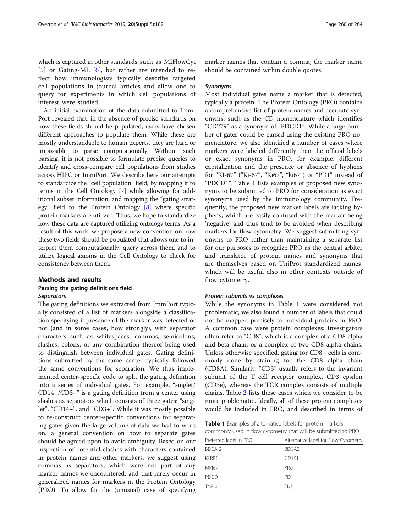<span id="page-1-0"></span>which is captured in other standards such as MIFlowCyt [[5\]](#page-5-0) or Gating-ML [[6\]](#page-5-0), but rather are intended to reflect how immunologists typically describe targeted cell populations in journal articles and allow one to query for experiments in which cell populations of interest were studied.

An initial examination of the data submitted to Imm-Port revealed that, in the absence of precise standards on how these fields should be populated, users have chosen different approaches to populate them. While these are mostly understandable to human experts, they are hard or impossible to parse computationally. Without such parsing, it is not possible to formulate precise queries to identify and cross-compare cell populations from studies across HIPC or ImmPort. We describe here our attempts to standardize the "cell population" field, by mapping it to terms in the Cell Ontology [[7](#page-5-0)] while allowing for additional subset information, and mapping the "gating strategy" field to the Protein Ontology [[8\]](#page-5-0) where specific protein markers are utilized. Thus, we hope to standardize how these data are captured utilizing ontology terms. As a result of this work, we propose a new convention on how these two fields should be populated that allows one to interpret them computationally, query across them, and to utilize logical axioms in the Cell Ontology to check for consistency between them.

# Methods and results

## Parsing the gating definitions field **Separators**

The gating definitions we extracted from ImmPort typically consisted of a list of markers alongside a classification specifying if presence of the marker was detected or not (and in some cases, how strongly), with separator characters such as whitespaces, commas, semicolons, slashes, colons, or any combination thereof being used to distinguish between individual gates. Gating definitions submitted by the same center typically followed the same conventions for separation. We thus implemented center-specific code to split the gating definition into a series of individual gates. For example, "singlet/ CD14−/CD3+" is a gating definition from a center using slashes as separators which consists of three gates: "singlet", "CD14−", and "CD3+". While it was mostly possible to re-construct center-specific conventions for separating gates given the large volume of data we had to work on, a general convention on how to separate gates should be agreed upon to avoid ambiguity. Based on our inspection of potential clashes with characters contained in protein names and other markers, we suggest using commas as separators, which were not part of any marker names we encountered, and that rarely occur in generalized names for markers in the Protein Ontology (PRO). To allow for the (unusual) case of specifying

marker names that contain a comma, the marker name should be contained within double quotes.

#### Synonyms

Most individual gates name a marker that is detected, typically a protein. The Protein Ontology (PRO) contains a comprehensive list of protein names and accurate synonyms, such as the CD nomenclature which identifies "CD279" as a synonym of "PDCD1". While a large number of gates could be parsed using the existing PRO nomenclature, we also identified a number of cases where markers were labeled differently than the official labels or exact synonyms in PRO, for example, different capitalization and the presence or absence of hyphens for "KI-67" ("Ki-67", "Ki67", "ki67") or "PD1" instead of "PDCD1". Table 1 lists examples of proposed new synonyms to be submitted to PRO for consideration as exact synonyms used by the immunology community. Frequently, the proposed new marker labels are lacking hyphens, which are easily confused with the marker being 'negative', and thus tend to be avoided when describing markers for flow cytometry. We suggest submitting synonyms to PRO rather than maintaining a separate list for our purposes to recognize PRO as the central arbiter and translator of protein names and synonyms that are themselves based on UniProt standardized names, which will be useful also in other contexts outside of flow cytometry.

#### Protein subunits vs complexes

While the synonyms in Table 1 were considered not problematic, we also found a number of labels that could not be mapped precisely to individual proteins in PRO. A common case were protein complexes: Investigators often refer to "CD8", which is a complex of a CD8 alpha and beta-chain, or a complex of two CD8 alpha chains. Unless otherwise specified, gating for CD8+ cells is commonly done by staining for the CD8 alpha chain (CD8A). Similarly, "CD3" usually refers to the invariant subunit of the T cell receptor complex, CD3 epsilon (CD3e), whereas the TCR complex consists of multiple chains. Table [2](#page-2-0) lists these cases which we consider to be more problematic. Ideally, all of these protein complexes would be included in PRO, and described in terms of

Table 1 Examples of alternative labels for protein markers commonly used in flow cytometry that will be submitted to PRO

| COMMITTED IT'S QUELLE IN THE VEHICLE IN THE VISIT DE JOIN INTEREST TO THIS |                                      |  |  |  |
|----------------------------------------------------------------------------|--------------------------------------|--|--|--|
| Preferred label in PRO                                                     | Alternative label for Flow Cytometry |  |  |  |
| BDCA-2                                                                     | BDCA <sub>2</sub>                    |  |  |  |
| KLRB1                                                                      | CD161                                |  |  |  |
| <b>MKI67</b>                                                               | KI67                                 |  |  |  |
| PDCD1                                                                      | PD <sub>1</sub>                      |  |  |  |
| TNF-a                                                                      | <b>TNFa</b>                          |  |  |  |
|                                                                            |                                      |  |  |  |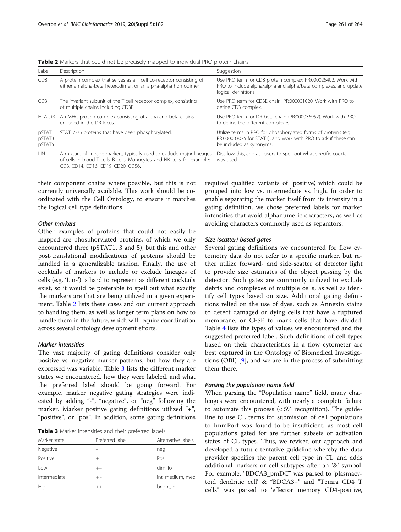| Label                      | Description                                                                                                                                                                               | Suggestion                                                                                                                                                    |
|----------------------------|-------------------------------------------------------------------------------------------------------------------------------------------------------------------------------------------|---------------------------------------------------------------------------------------------------------------------------------------------------------------|
| C <sub>D</sub> 8           | A protein complex that serves as a T cell co-receptor consisting of<br>either an alpha-beta heterodimer, or an alpha-alpha homodimer                                                      | Use PRO term for CD8 protein complex: PR:000025402. Work with<br>PRO to include alpha/alpha and alpha/beta complexes, and update<br>logical definitions       |
| C <sub>D</sub> 3           | The invariant subunit of the T cell receptor complex, consisting<br>of multiple chains including CD3E                                                                                     | Use PRO term for CD3E chain: PR:000001020. Work with PRO to<br>define CD3 complex.                                                                            |
| HLA-DR                     | An MHC protein complex consisting of alpha and beta chains<br>encoded in the DR locus.                                                                                                    | Use PRO term for DR beta chain (PR:000036952). Work with PRO<br>to define the different complexes                                                             |
| pSTAT1<br>pSTAT3<br>pSTAT5 | STAT1/3/5 proteins that have been phosphorylated.                                                                                                                                         | Utilize terms in PRO for phosphorylated forms of proteins (e.g.<br>PR:000003075 for STAT1), and work with PRO to ask if these can<br>be included as synonyms. |
| LIN                        | A mixture of lineage markers, typically used to exclude major lineages<br>of cells in blood T cells, B cells, Monocytes, and NK cells, for example:<br>CD3, CD14, CD16, CD19, CD20, CD56. | Disallow this, and ask users to spell out what specific cocktail<br>was used.                                                                                 |

<span id="page-2-0"></span>Table 2 Markers that could not be precisely mapped to individual PRO protein chains

their component chains where possible, but this is not currently universally available. This work should be coordinated with the Cell Ontology, to ensure it matches the logical cell type definitions.

## Other markers

Other examples of proteins that could not easily be mapped are phosphorylated proteins, of which we only encountered three (pSTAT1, 3 and 5), but this and other post-translational modifications of proteins should be handled in a generalizable fashion. Finally, the use of cocktails of markers to include or exclude lineages of cells (e.g. 'Lin-') is hard to represent as different cocktails exist, so it would be preferable to spell out what exactly the markers are that are being utilized in a given experiment. Table 2 lists these cases and our current approach to handling them, as well as longer term plans on how to handle them in the future, which will require coordination across several ontology development efforts.

### Marker intensities

The vast majority of gating definitions consider only positive vs. negative marker patterns, but how they are expressed was variable. Table 3 lists the different marker states we encountered, how they were labeled, and what the preferred label should be going forward. For example, marker negative gating strategies were indicated by adding "-", "negative", or "neg" following the marker. Marker positive gating definitions utilized "+", "positive", or "pos". In addition, some gating definitions

Table 3 Marker intensities and their preferred labels

| Marker state | Preferred label | Alternative labels |
|--------------|-----------------|--------------------|
| Negative     |                 | neg                |
| Positive     | $^{+}$          | Pos                |
| l ow         | $+ -$           | dim, lo            |
| Intermediate | $+\sim$         | int, medium, med   |
| High         | $^{++}$         | bright, hi         |

required qualified variants of 'positive', which could be grouped into low vs. intermediate vs. high. In order to enable separating the marker itself from its intensity in a gating definition, we chose preferred labels for marker intensities that avoid alphanumeric characters, as well as avoiding characters commonly used as separators.

### Size (scatter) based gates

Several gating definitions we encountered for flow cytometry data do not refer to a specific marker, but rather utilize forward- and side-scatter of detector light to provide size estimates of the object passing by the detector. Such gates are commonly utilized to exclude debris and complexes of multiple cells, as well as identify cell types based on size. Additional gating definitions relied on the use of dyes, such as Annexin stains to detect damaged or dying cells that have a ruptured membrane, or CFSE to mark cells that have divided. Table [4](#page-3-0) lists the types of values we encountered and the suggested preferred label. Such definitions of cell types based on their characteristics in a flow cytometer are best captured in the Ontology of Biomedical Investigations (OBI) [\[9](#page-5-0)], and we are in the process of submitting them there.

#### Parsing the population name field

When parsing the "Population name" field, many challenges were encountered, with nearly a complete failure to automate this process (< 5% recognition). The guideline to use CL terms for submission of cell populations to ImmPort was found to be insufficient, as most cell populations gated for are further subsets or activation states of CL types. Thus, we revised our approach and developed a future tentative guideline whereby the data provider specifies the parent cell type in CL and adds additional markers or cell subtypes after an '&' symbol. For example, "BDCA3\_pmDC" was parsed to 'plasmacytoid dendritic cell' & "BDCA3+" and "Temra CD4 T cells" was parsed to 'effector memory CD4-positive,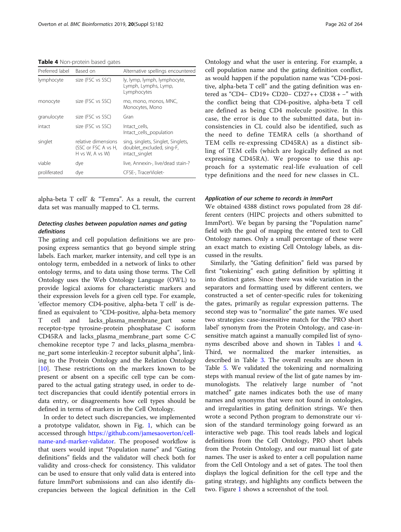<span id="page-3-0"></span>Table 4 Non-protein based gates

| Preferred label | Based on                                                      | Alternative spellings encountered                                                 |
|-----------------|---------------------------------------------------------------|-----------------------------------------------------------------------------------|
| lymphocyte      | size (FSC vs SSC)                                             | ly, lymp, lymph, lymphocyte,<br>Lymph, Lymphs, Lymp,<br>Lymphocytes               |
| monocyte        | size (FSC vs SSC)                                             | mo, mono, monos, MNC,<br>Monocytes, Mono                                          |
| granulocyte     | size (FSC vs SSC)                                             | Gran                                                                              |
| intact          | size (FSC vs SSC)                                             | Intact cells,<br>Intact_cells_population                                          |
| singlet         | relative dimensions<br>(SSC or FSC A vs H,<br>H vs W, A vs W) | sing, singlets, Singlet, Singlets,<br>doublet excluded, sing-F,<br>intact_singlet |
| viable          | dye                                                           | live, Annexin-, live/dead stain-?                                                 |
| proliferated    | dye                                                           | CFSE-, TracerViolet-                                                              |

alpha-beta T cell' & "Temra". As a result, the current data set was manually mapped to CL terms.

# Detecting clashes between population names and gating definitions

The gating and cell population definitions we are proposing express semantics that go beyond simple string labels. Each marker, marker intensity, and cell type is an ontology term, embedded in a network of links to other ontology terms, and to data using those terms. The Cell Ontology uses the Web Ontology Language (OWL) to provide logical axioms for characteristic markers and their expression levels for a given cell type. For example, 'effector memory CD4-positive, alpha-beta T cell' is defined as equivalent to "CD4-positive, alpha-beta memory T cell and lacks\_plasma\_membrane\_part some receptor-type tyrosine-protein phosphatase C isoform CD45RA and lacks\_plasma\_membrane\_part some C-C chemokine receptor type 7 and lacks\_plasma\_membrane\_part some interleukin-2 receptor subunit alpha", linking to the Protein Ontology and the Relation Ontology [[10\]](#page-5-0). These restrictions on the markers known to be present or absent on a specific cell type can be compared to the actual gating strategy used, in order to detect discrepancies that could identify potential errors in data entry, or disagreements how cell types should be defined in terms of markers in the Cell Ontology.

In order to detect such discrepancies, we implemented a prototype validator, shown in Fig. [1,](#page-4-0) which can be accessed through [https://github.com/jamesaoverton/cell](https://github.com/jamesaoverton/cell-name-and-marker-validator)[name-and-marker-validator.](https://github.com/jamesaoverton/cell-name-and-marker-validator) The proposed workflow is that users would input "Population name" and "Gating definitions" fields and the validator will check both for validity and cross-check for consistency. This validator can be used to ensure that only valid data is entered into future ImmPort submissions and can also identify discrepancies between the logical definition in the Cell

Ontology and what the user is entering. For example, a cell population name and the gating definition conflict, as would happen if the population name was "CD4-positive, alpha-beta T cell" and the gating definition was entered as "CD4− CD19+ CD20− CD27++ CD38 + −" with the conflict being that CD4-positive, alpha-beta T cell are defined as being CD4 molecule positive. In this case, the error is due to the submitted data, but inconsistencies in CL could also be identified, such as the need to define TEMRA cells (a shorthand of TEM cells re-expressing CD45RA) as a distinct sibling of TEM cells (which are logically defined as not expressing CD45RA). We propose to use this approach for a systematic real-life evaluation of cell type definitions and the need for new classes in CL.

#### Application of our scheme to records in ImmPort

We obtained 4388 distinct rows populated from 28 different centers (HIPC projects and others submitted to ImmPort). We began by parsing the "Population name" field with the goal of mapping the entered text to Cell Ontology names. Only a small percentage of these were an exact match to existing Cell Ontology labels, as discussed in the results.

Similarly, the "Gating definition" field was parsed by first "tokenizing" each gating definition by splitting it into distinct gates. Since there was wide variation in the separators and formatting used by different centers, we constructed a set of center-specific rules for tokenizing the gates, primarily as regular expression patterns. The second step was to "normalize" the gate names. We used two strategies: case-insensitive match for the 'PRO short label' synonym from the Protein Ontology, and case-insensitive match against a manually compiled list of synonyms described above and shown in Tables [1](#page-1-0) and 4. Third, we normalized the marker intensities, as described in Table [3](#page-2-0). The overall results are shown in Table [5.](#page-4-0) We validated the tokenizing and normalizing steps with manual review of the list of gate names by immunologists. The relatively large number of "not matched" gate names indicates both the use of many names and synonyms that were not found in ontologies, and irregularities in gating definition strings. We then wrote a second Python program to demonstrate our vision of the standard terminology going forward as an interactive web page. This tool reads labels and logical definitions from the Cell Ontology, PRO short labels from the Protein Ontology, and our manual list of gate names. The user is asked to enter a cell population name from the Cell Ontology and a set of gates. The tool then displays the logical definition for the cell type and the gating strategy, and highlights any conflicts between the two. Figure [1](#page-4-0) shows a screenshot of the tool.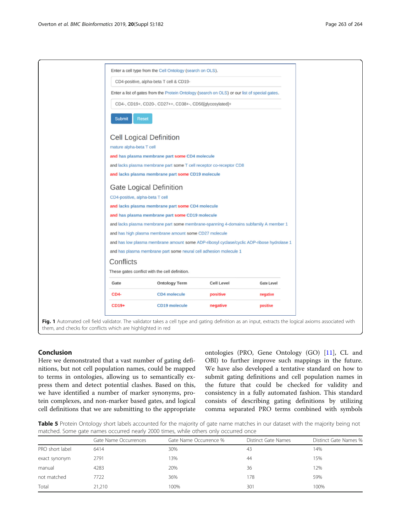<span id="page-4-0"></span>

# Conclusion

Here we demonstrated that a vast number of gating definitions, but not cell population names, could be mapped to terms in ontologies, allowing us to semantically express them and detect potential clashes. Based on this, we have identified a number of marker synonyms, protein complexes, and non-marker based gates, and logical cell definitions that we are submitting to the appropriate

ontologies (PRO, Gene Ontology (GO) [\[11](#page-5-0)], CL and OBI) to further improve such mappings in the future. We have also developed a tentative standard on how to submit gating definitions and cell population names in the future that could be checked for validity and consistency in a fully automated fashion. This standard consists of describing gating definitions by utilizing comma separated PRO terms combined with symbols

Table 5 Protein Ontology short labels accounted for the majority of gate name matches in our dataset with the majority being not matched. Some gate names occurred nearly 2000 times, while others only occurred once

|                 | Gate Name Occurrences | Gate Name Occurrence % | Distinct Gate Names | Distinct Gate Names % |  |
|-----------------|-----------------------|------------------------|---------------------|-----------------------|--|
| PRO short label | 6414                  | 30%                    | 43                  | 14%                   |  |
| exact synonym   | 2791                  | 13%                    | 44                  | 15%                   |  |
| manual          | 4283                  | 20%                    | 36                  | 12%                   |  |
| not matched     | 7722                  | 36%                    | 178                 | 59%                   |  |
| Total           | 21,210                | 100%                   | 301                 | 100%                  |  |